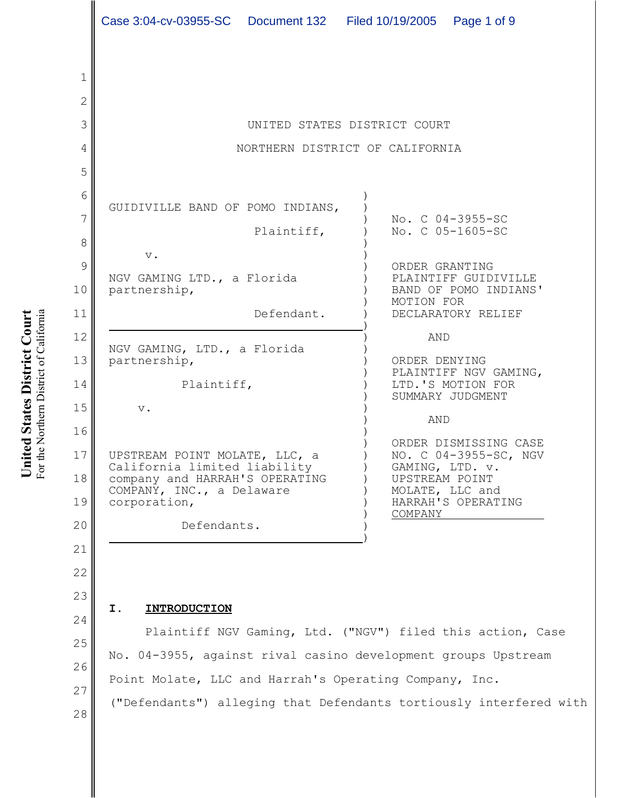|                | Case 3:04-cv-03955-SC  Document 132  Filed 10/19/2005  Page 1 of 9 |                             |  |                                                                                 |                                                |  |  |  |
|----------------|--------------------------------------------------------------------|-----------------------------|--|---------------------------------------------------------------------------------|------------------------------------------------|--|--|--|
|                |                                                                    |                             |  |                                                                                 |                                                |  |  |  |
| 1              |                                                                    |                             |  |                                                                                 |                                                |  |  |  |
| $\overline{2}$ |                                                                    |                             |  |                                                                                 |                                                |  |  |  |
| 3              | UNITED STATES DISTRICT COURT                                       |                             |  |                                                                                 |                                                |  |  |  |
| 4              | NORTHERN DISTRICT OF CALIFORNIA                                    |                             |  |                                                                                 |                                                |  |  |  |
| 5              |                                                                    |                             |  |                                                                                 |                                                |  |  |  |
|                |                                                                    |                             |  |                                                                                 |                                                |  |  |  |
| 6              | GUIDIVILLE BAND OF POMO INDIANS,                                   |                             |  |                                                                                 |                                                |  |  |  |
| $\overline{7}$ |                                                                    | Plaintiff,                  |  |                                                                                 | No. C 04-3955-SC<br>No. C 05-1605-SC           |  |  |  |
| 8              | $\mathbf v$ .                                                      |                             |  |                                                                                 |                                                |  |  |  |
| 9              | NGV GAMING LTD., a Florida                                         |                             |  |                                                                                 | ORDER GRANTING<br>PLAINTIFF GUIDIVILLE         |  |  |  |
| 10             | partnership,                                                       |                             |  | BAND OF POMO INDIANS'<br>MOTION FOR                                             |                                                |  |  |  |
| 11             |                                                                    | Defendant.                  |  |                                                                                 | DECLARATORY RELIEF                             |  |  |  |
| 12             |                                                                    |                             |  | AND                                                                             |                                                |  |  |  |
| 13             | partnership,                                                       | NGV GAMING, LTD., a Florida |  | ORDER DENYING<br>PLAINTIFF NGV GAMING,<br>LTD.'S MOTION FOR<br>SUMMARY JUDGMENT |                                                |  |  |  |
| 14             | Plaintiff,<br>$\mathbf v$ .                                        |                             |  |                                                                                 |                                                |  |  |  |
| 15             |                                                                    |                             |  |                                                                                 |                                                |  |  |  |
| 16             |                                                                    |                             |  | AND                                                                             |                                                |  |  |  |
| 17             | UPSTREAM POINT MOLATE, LLC, a                                      |                             |  |                                                                                 | ORDER DISMISSING CASE<br>NO. C 04-3955-SC, NGV |  |  |  |
| 18             | California limited liability<br>company and HARRAH'S OPERATING     |                             |  | GAMING, LTD. v.<br>UPSTREAM POINT                                               |                                                |  |  |  |
| 19             | COMPANY, INC., a Delaware<br>corporation,                          |                             |  |                                                                                 | MOLATE, LLC and<br>HARRAH'S OPERATING          |  |  |  |
| 20             | Defendants.                                                        |                             |  | COMPANY                                                                         |                                                |  |  |  |
| 21             |                                                                    |                             |  |                                                                                 |                                                |  |  |  |
|                |                                                                    |                             |  |                                                                                 |                                                |  |  |  |

## **I. INTRODUCTION**

26 Plaintiff NGV Gaming, Ltd. ("NGV") filed this action, Case No. 04-3955, against rival casino development groups Upstream Point Molate, LLC and Harrah's Operating Company, Inc. ("Defendants") alleging that Defendants tortiously interfered with

United States District Court For the Northern District of California For the Northern District of California **United States District Court**

22

23

24

25

27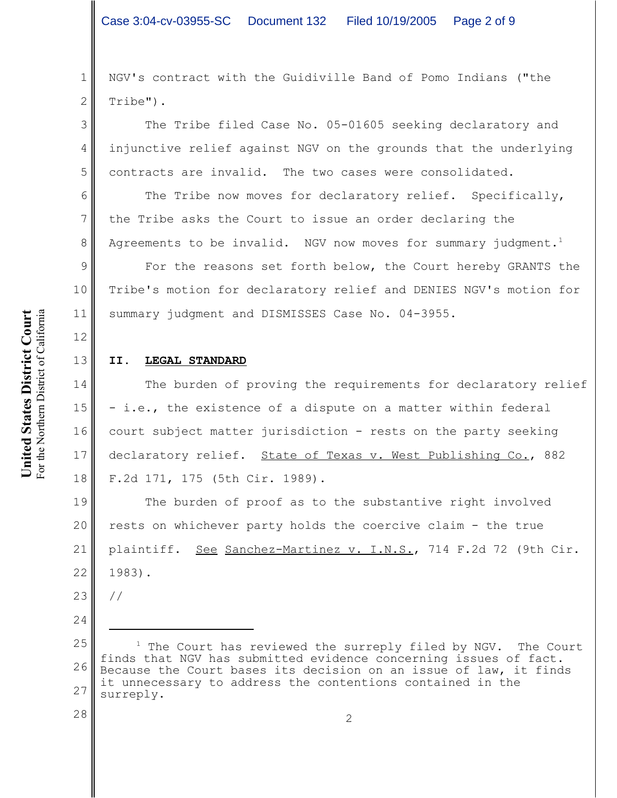2 NGV's contract with the Guidiville Band of Pomo Indians ("the Tribe").

The Tribe filed Case No. 05-01605 seeking declaratory and injunctive relief against NGV on the grounds that the underlying contracts are invalid. The two cases were consolidated.

The Tribe now moves for declaratory relief. Specifically, the Tribe asks the Court to issue an order declaring the Agreements to be invalid. NGV now moves for summary judgment.<sup>1</sup>

For the reasons set forth below, the Court hereby GRANTS the Tribe's motion for declaratory relief and DENIES NGV's motion for summary judgment and DISMISSES Case No. 04-3955.

#### **II. LEGAL STANDARD**

The burden of proving the requirements for declaratory relief - i.e., the existence of a dispute on a matter within federal court subject matter jurisdiction - rests on the party seeking declaratory relief. State of Texas v. West Publishing Co., 882 F.2d 171, 175 (5th Cir. 1989).

19 20 21 22 The burden of proof as to the substantive right involved rests on whichever party holds the coercive claim - the true plaintiff. See Sanchez-Martinez v. I.N.S., 714 F.2d 72 (9th Cir. 1983).

- 23 //
- 24

1

3

4

5

6

7

8

9

10

11

12

13

14

15

16

17

18

<sup>25</sup> 26 27  $1$  The Court has reviewed the surreply filed by NGV. The Court finds that NGV has submitted evidence concerning issues of fact. Because the Court bases its decision on an issue of law, it finds it unnecessary to address the contentions contained in the surreply.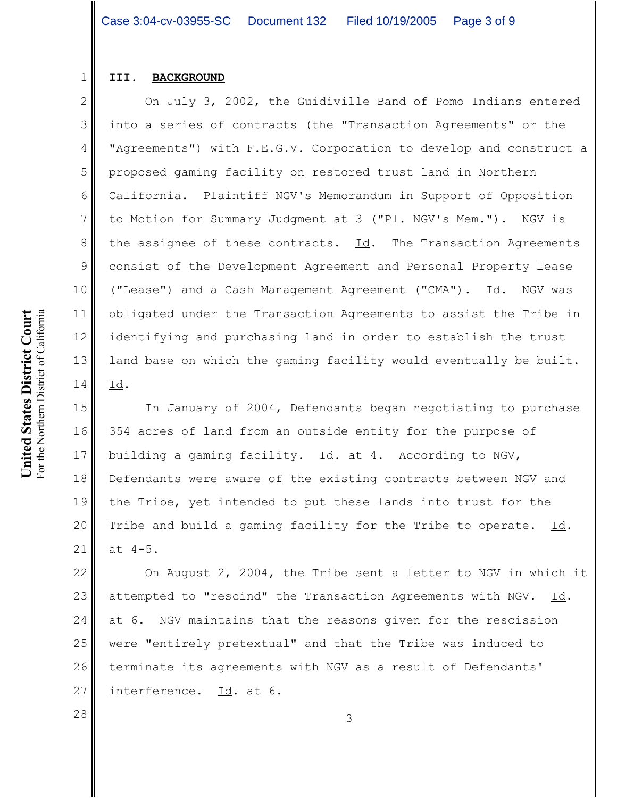#### **III. BACKGROUND**

1

2

3

4

5

6

7

8

9

10

11

12

13

14

On July 3, 2002, the Guidiville Band of Pomo Indians entered into a series of contracts (the "Transaction Agreements" or the "Agreements") with F.E.G.V. Corporation to develop and construct a proposed gaming facility on restored trust land in Northern California. Plaintiff NGV's Memorandum in Support of Opposition to Motion for Summary Judgment at 3 ("Pl. NGV's Mem."). NGV is the assignee of these contracts.  $\underline{Id}$ . The Transaction Agreements consist of the Development Agreement and Personal Property Lease ("Lease") and a Cash Management Agreement ("CMA"). Id. NGV was obligated under the Transaction Agreements to assist the Tribe in identifying and purchasing land in order to establish the trust land base on which the gaming facility would eventually be built. Id.

15 16 17 18 19 20 21 In January of 2004, Defendants began negotiating to purchase 354 acres of land from an outside entity for the purpose of building a gaming facility.  $Id.$  at 4. According to NGV, Defendants were aware of the existing contracts between NGV and the Tribe, yet intended to put these lands into trust for the Tribe and build a gaming facility for the Tribe to operate. Id. at 4-5.

22 23 24 25 26 27 On August 2, 2004, the Tribe sent a letter to NGV in which it attempted to "rescind" the Transaction Agreements with NGV.  $Id$ . at 6. NGV maintains that the reasons given for the rescission were "entirely pretextual" and that the Tribe was induced to terminate its agreements with NGV as a result of Defendants' interference. Id. at 6.

 $\begin{array}{|c|c|c|c|c|}\n\hline\n28 & 3 \\
\hline\n\end{array}$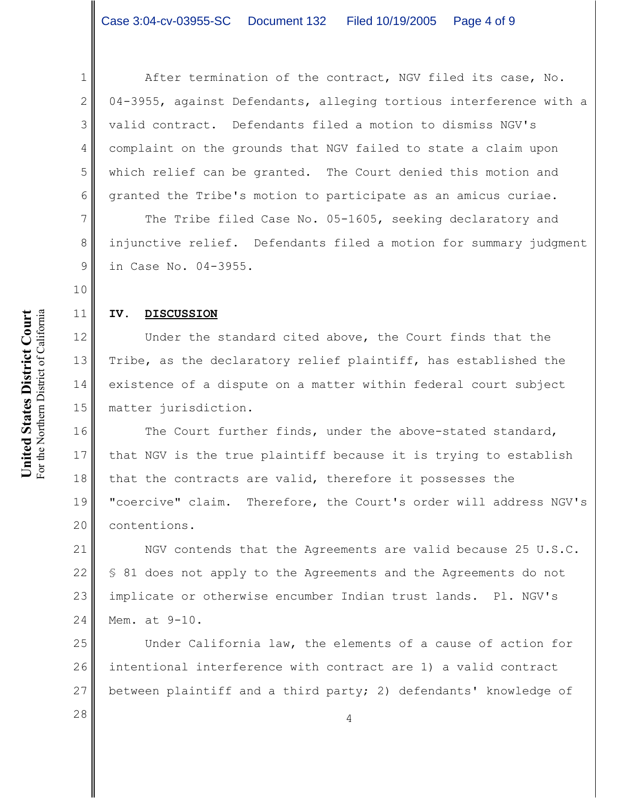After termination of the contract, NGV filed its case, No. 04-3955, against Defendants, alleging tortious interference with a valid contract. Defendants filed a motion to dismiss NGV's complaint on the grounds that NGV failed to state a claim upon which relief can be granted. The Court denied this motion and granted the Tribe's motion to participate as an amicus curiae.

The Tribe filed Case No. 05-1605, seeking declaratory and injunctive relief. Defendants filed a motion for summary judgment in Case No. 04-3955.

**IV. DISCUSSION**

# Under the standard cited above, the Court finds that the Tribe, as the declaratory relief plaintiff, has established the existence of a dispute on a matter within federal court subject matter jurisdiction.

16 17 18 19 20 The Court further finds, under the above-stated standard, that NGV is the true plaintiff because it is trying to establish that the contracts are valid, therefore it possesses the "coercive" claim. Therefore, the Court's order will address NGV's contentions.

21 22 23 24 NGV contends that the Agreements are valid because 25 U.S.C. § 81 does not apply to the Agreements and the Agreements do not implicate or otherwise encumber Indian trust lands. Pl. NGV's Mem. at 9-10.

25 26 27 Under California law, the elements of a cause of action for intentional interference with contract are 1) a valid contract between plaintiff and a third party; 2) defendants' knowledge of

1

2

3

4

5

6

7

8

9

10

11

12

13

14

15

 $\begin{array}{|c|c|c|c|c|}\n 28 & & & 4 \\
 \hline\n & 4 & & & \\
 \hline\n\end{array}$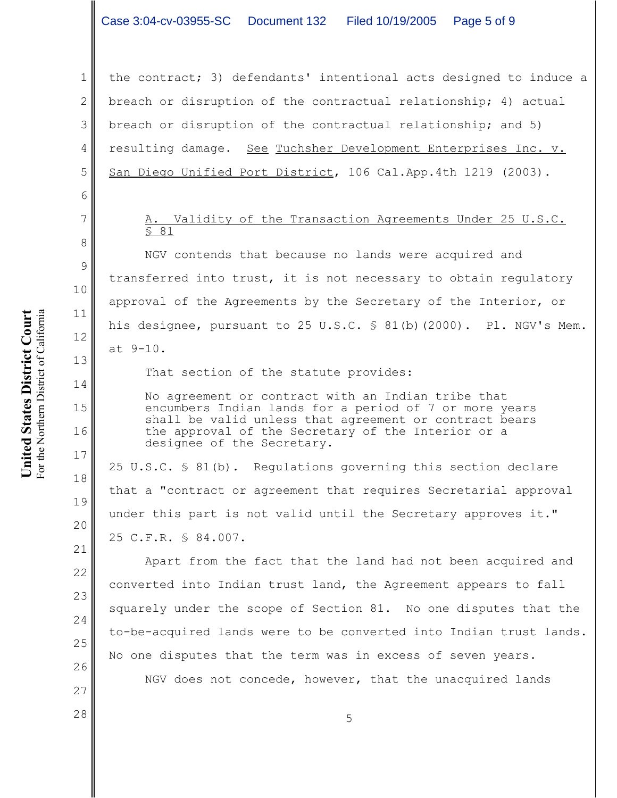## Case 3:04-cv-03955-SC Document 132 Filed 10/19/2005 Page 5 of 9

the contract; 3) defendants' intentional acts designed to induce a breach or disruption of the contractual relationship; 4) actual breach or disruption of the contractual relationship; and 5) resulting damage. See Tuchsher Development Enterprises Inc. v. San Diego Unified Port District, 106 Cal.App.4th 1219 (2003).

### Validity of the Transaction Agreements Under 25 U.S.C. § 81

NGV contends that because no lands were acquired and transferred into trust, it is not necessary to obtain regulatory approval of the Agreements by the Secretary of the Interior, or his designee, pursuant to 25 U.S.C. \$ 81(b)(2000). Pl. NGV's Mem. at 9-10.

That section of the statute provides:

No agreement or contract with an Indian tribe that encumbers Indian lands for a period of 7 or more years shall be valid unless that agreement or contract bears the approval of the Secretary of the Interior or a designee of the Secretary.

25 U.S.C. § 81(b). Regulations governing this section declare that a "contract or agreement that requires Secretarial approval under this part is not valid until the Secretary approves it." 25 C.F.R. § 84.007.

Apart from the fact that the land had not been acquired and converted into Indian trust land, the Agreement appears to fall squarely under the scope of Section 81. No one disputes that the to-be-acquired lands were to be converted into Indian trust lands. No one disputes that the term was in excess of seven years.

NGV does not concede, however, that the unacquired lands

United States District Court For the Northern District of California **United States District Court** For the Northern District of California 1

2

3

4

5

6

7

8

9

10

11

12

13

14

15

16

17

18

19

20

21

22

23

24

25

26

27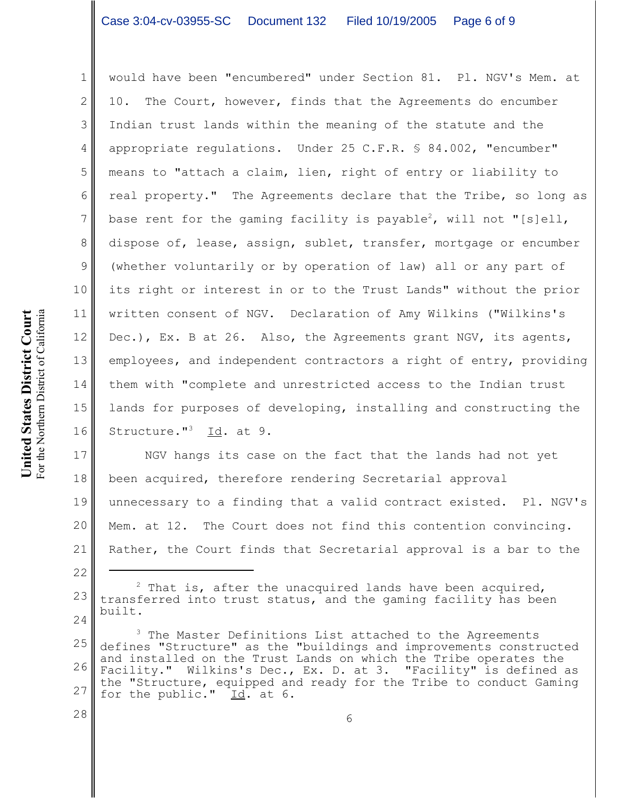## Case 3:04-cv-03955-SC Document 132 Filed 10/19/2005 Page 6 of 9

1 2 3 4 5 6 8 9 10 11 12 13 14 15 16 would have been "encumbered" under Section 81. Pl. NGV's Mem. at 10. The Court, however, finds that the Agreements do encumber Indian trust lands within the meaning of the statute and the appropriate regulations. Under 25 C.F.R. § 84.002, "encumber" means to "attach a claim, lien, right of entry or liability to real property." The Agreements declare that the Tribe, so long as base rent for the gaming facility is payable $^2$ , will not "[s]ell, dispose of, lease, assign, sublet, transfer, mortgage or encumber (whether voluntarily or by operation of law) all or any part of its right or interest in or to the Trust Lands" without the prior written consent of NGV. Declaration of Amy Wilkins ("Wilkins's Dec.), Ex. B at 26. Also, the Agreements grant NGV, its agents, employees, and independent contractors a right of entry, providing them with "complete and unrestricted access to the Indian trust lands for purposes of developing, installing and constructing the Structure."<sup>3</sup> Id. at 9.

17 18 19 20 21 NGV hangs its case on the fact that the lands had not yet been acquired, therefore rendering Secretarial approval unnecessary to a finding that a valid contract existed. Pl. NGV's Mem. at 12. The Court does not find this contention convincing. Rather, the Court finds that Secretarial approval is a bar to the

7

22

28

<sup>23</sup> 24  $2$  That is, after the unacquired lands have been acquired, transferred into trust status, and the gaming facility has been built.

<sup>25</sup> 26 27 <sup>3</sup> The Master Definitions List attached to the Agreements defines "Structure" as the "buildings and improvements constructed and installed on the Trust Lands on which the Tribe operates the Facility." Wilkins's Dec., Ex. D. at 3. "Facility" is defined as the "Structure, equipped and ready for the Tribe to conduct Gaming for the public." Id. at 6.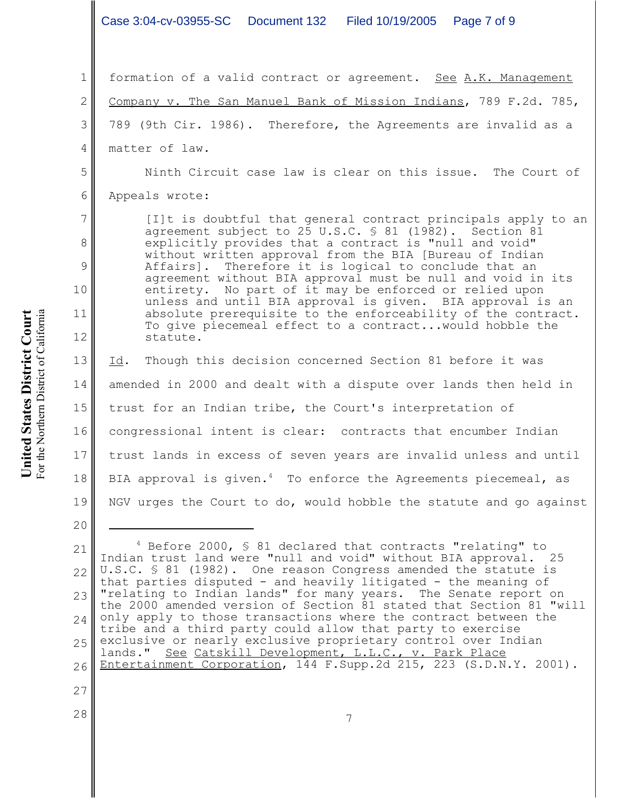1 2 3 4 5 6 7 8 9 10 11 12 13 14 15 16 17 18 19 20 21 22 23 24 25 26 27 28 4 Before 2000, § 81 declared that contracts "relating" to Indian trust land were "null and void" without BIA approval. 25 U.S.C. § 81 (1982). One reason Congress amended the statute is that parties disputed - and heavily litigated - the meaning of "relating to Indian lands" for many years. The Senate report on the 2000 amended version of Section 81 stated that Section 81 "will only apply to those transactions where the contract between the tribe and a third party could allow that party to exercise exclusive or nearly exclusive proprietary control over Indian lands." See Catskill Development, L.L.C., v. Park Place Entertainment Corporation, 144 F.Supp.2d 215, 223 (S.D.N.Y. 2001). 7 formation of a valid contract or agreement. See A.K. Management Company v. The San Manuel Bank of Mission Indians, 789 F.2d. 785, 789 (9th Cir. 1986). Therefore, the Agreements are invalid as a matter of law. Ninth Circuit case law is clear on this issue. The Court of Appeals wrote: [I]t is doubtful that general contract principals apply to an agreement subject to 25 U.S.C. § 81 (1982). Section 81 explicitly provides that a contract is "null and void" without written approval from the BIA [Bureau of Indian Affairs]. Therefore it is logical to conclude that an agreement without BIA approval must be null and void in its entirety. No part of it may be enforced or relied upon unless and until BIA approval is given. BIA approval is an absolute prerequisite to the enforceability of the contract. To give piecemeal effect to a contract...would hobble the statute. Id. Though this decision concerned Section 81 before it was amended in 2000 and dealt with a dispute over lands then held in trust for an Indian tribe, the Court's interpretation of congressional intent is clear: contracts that encumber Indian trust lands in excess of seven years are invalid unless and until BIA approval is given. $4\,$  To enforce the Agreements piecemeal, as NGV urges the Court to do, would hobble the statute and go against Case 3:04-cv-03955-SC Document 132 Filed 10/19/2005 Page 7 of 9

United States District Court For the Northern District of California For the Northern District of California **United States District Court**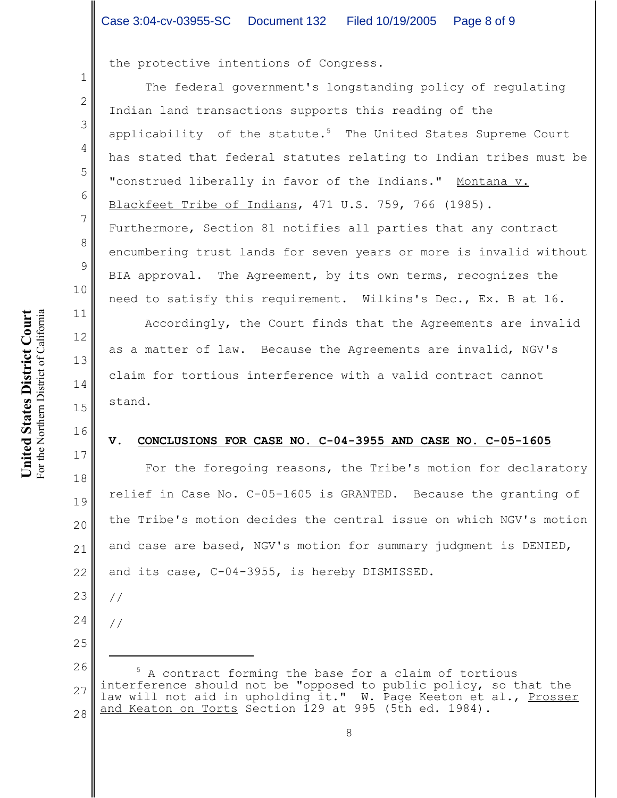the protective intentions of Congress.

The federal government's longstanding policy of regulating Indian land transactions supports this reading of the applicability of the statute. $5$  The United States Supreme Court has stated that federal statutes relating to Indian tribes must be "construed liberally in favor of the Indians." Montana v. Blackfeet Tribe of Indians, 471 U.S. 759, 766 (1985). Furthermore, Section 81 notifies all parties that any contract encumbering trust lands for seven years or more is invalid without BIA approval. The Agreement, by its own terms, recognizes the need to satisfy this requirement. Wilkins's Dec., Ex. B at 16.

Accordingly, the Court finds that the Agreements are invalid as a matter of law. Because the Agreements are invalid, NGV's claim for tortious interference with a valid contract cannot stand.

#### **V. CONCLUSIONS FOR CASE NO. C-04-3955 AND CASE NO. C-05-1605**

For the foregoing reasons, the Tribe's motion for declaratory relief in Case No. C-05-1605 is GRANTED. Because the granting of the Tribe's motion decides the central issue on which NGV's motion and case are based, NGV's motion for summary judgment is DENIED, and its case, C-04-3955, is hereby DISMISSED.

//

26 27 28 5 A contract forming the base for a claim of tortious interference should not be "opposed to public policy, so that the law will not aid in upholding it." W. Page Keeton et al., Prosser and Keaton on Torts Section 129 at 995 (5th ed. 1984).

1

2

3

4

5

6

7

8

9

10

11

12

13

14

15

16

17

18

19

20

21

22

23

<sup>24</sup> //